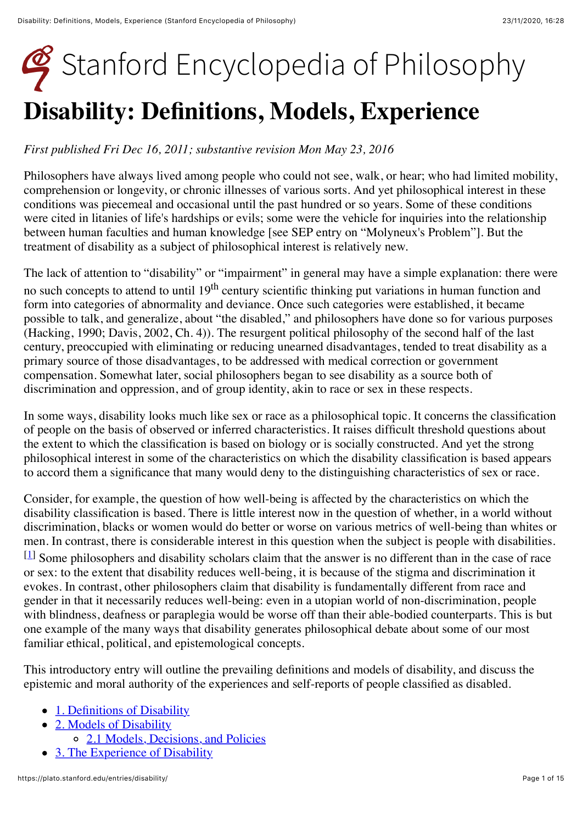# [Stanford Encyclopedia of Philosophy](https://plato.stanford.edu/index.html) **Disability: Definitions, Models, Experience**

#### *First published Fri Dec 16, 2011; substantive revision Mon May 23, 2016*

Philosophers have always lived among people who could not see, walk, or hear; who had limited mobility, comprehension or longevity, or chronic illnesses of various sorts. And yet philosophical interest in these conditions was piecemeal and occasional until the past hundred or so years. Some of these conditions were cited in litanies of life's hardships or evils; some were the vehicle for inquiries into the relationship between human faculties and human knowledge [see SEP entry on "Molyneux's Problem"]. But the treatment of disability as a subject of philosophical interest is relatively new.

The lack of attention to "disability" or "impairment" in general may have a simple explanation: there were no such concepts to attend to until 19<sup>th</sup> century scientific thinking put variations in human function and form into categories of abnormality and deviance. Once such categories were established, it became possible to talk, and generalize, about "the disabled," and philosophers have done so for various purposes (Hacking, 1990; Davis, 2002, Ch. 4)). The resurgent political philosophy of the second half of the last century, preoccupied with eliminating or reducing unearned disadvantages, tended to treat disability as a primary source of those disadvantages, to be addressed with medical correction or government compensation. Somewhat later, social philosophers began to see disability as a source both of discrimination and oppression, and of group identity, akin to race or sex in these respects.

In some ways, disability looks much like sex or race as a philosophical topic. It concerns the classification of people on the basis of observed or inferred characteristics. It raises difficult threshold questions about the extent to which the classification is based on biology or is socially constructed. And yet the strong philosophical interest in some of the characteristics on which the disability classification is based appears to accord them a significance that many would deny to the distinguishing characteristics of sex or race.

Consider, for example, the question of how well-being is affected by the characteristics on which the disability classification is based. There is little interest now in the question of whether, in a world without discrimination, blacks or women would do better or worse on various metrics of well-being than whites or men. In contrast, there is considerable interest in this question when the subject is people with disabilities. [[1](https://plato.stanford.edu/entries/disability/notes.html%231)] Some philosophers and disability scholars claim that the answer is no different than in the case of race or sex: to the extent that disability reduces well-being, it is because of the stigma and discrimination it evokes. In contrast, other philosophers claim that disability is fundamentally different from race and gender in that it necessarily reduces well-being: even in a utopian world of non-discrimination, people with blindness, deafness or paraplegia would be worse off than their able-bodied counterparts. This is but one example of the many ways that disability generates philosophical debate about some of our most

This introductory entry will outline the prevailing definitions and models of disability, and discuss the epistemic and moral authority of the experiences and self-reports of people classified as disabled.

- [1. Definitions of Disability](#page-1-0)
- [2. Models of Disability](#page-2-0)
	- [2.1 Models, Decisions, and Policies](#page-4-0)

familiar ethical, political, and epistemological concepts.

[3. The Experience of Disability](#page-5-0)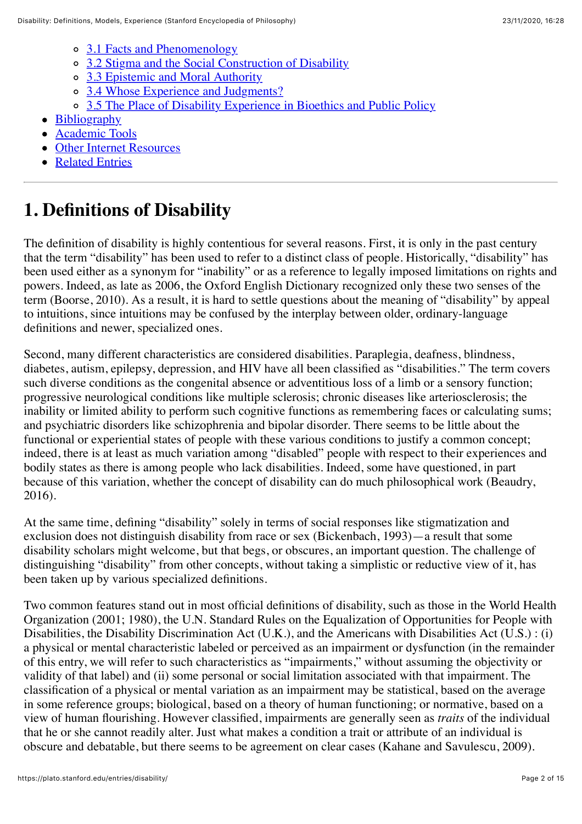- [3.1 Facts and Phenomenology](#page-6-0)
- o [3.2 Stigma and the Social Construction of Disability](#page-7-0)
- <sup>o</sup> [3.3 Epistemic and Moral Authority](#page-8-0)
- o [3.4 Whose Experience and Judgments?](#page-10-0)
- [3.5 The Place of Disability Experience in Bioethics and Public Policy](#page-10-1)
- [Bibliography](#page-11-0)
- [Academic Tools](#page-13-0)
- [Other Internet Resources](#page-13-1)
- [Related Entries](#page-14-0)

# <span id="page-1-0"></span>**1. Definitions of Disability**

The definition of disability is highly contentious for several reasons. First, it is only in the past century that the term "disability" has been used to refer to a distinct class of people. Historically, "disability" has been used either as a synonym for "inability" or as a reference to legally imposed limitations on rights and powers. Indeed, as late as 2006, the Oxford English Dictionary recognized only these two senses of the term (Boorse, 2010). As a result, it is hard to settle questions about the meaning of "disability" by appeal to intuitions, since intuitions may be confused by the interplay between older, ordinary-language definitions and newer, specialized ones.

Second, many different characteristics are considered disabilities. Paraplegia, deafness, blindness, diabetes, autism, epilepsy, depression, and HIV have all been classified as "disabilities." The term covers such diverse conditions as the congenital absence or adventitious loss of a limb or a sensory function; progressive neurological conditions like multiple sclerosis; chronic diseases like arteriosclerosis; the inability or limited ability to perform such cognitive functions as remembering faces or calculating sums; and psychiatric disorders like schizophrenia and bipolar disorder. There seems to be little about the functional or experiential states of people with these various conditions to justify a common concept; indeed, there is at least as much variation among "disabled" people with respect to their experiences and bodily states as there is among people who lack disabilities. Indeed, some have questioned, in part because of this variation, whether the concept of disability can do much philosophical work (Beaudry, 2016).

At the same time, defining "disability" solely in terms of social responses like stigmatization and exclusion does not distinguish disability from race or sex (Bickenbach, 1993)—a result that some disability scholars might welcome, but that begs, or obscures, an important question. The challenge of distinguishing "disability" from other concepts, without taking a simplistic or reductive view of it, has been taken up by various specialized definitions.

Two common features stand out in most official definitions of disability, such as those in the World Health Organization (2001; 1980), the U.N. Standard Rules on the Equalization of Opportunities for People with Disabilities, the Disability Discrimination Act (U.K.), and the Americans with Disabilities Act (U.S.) : (i) a physical or mental characteristic labeled or perceived as an impairment or dysfunction (in the remainder of this entry, we will refer to such characteristics as "impairments," without assuming the objectivity or validity of that label) and (ii) some personal or social limitation associated with that impairment. The classification of a physical or mental variation as an impairment may be statistical, based on the average in some reference groups; biological, based on a theory of human functioning; or normative, based on a view of human flourishing. However classified, impairments are generally seen as *traits* of the individual that he or she cannot readily alter. Just what makes a condition a trait or attribute of an individual is obscure and debatable, but there seems to be agreement on clear cases (Kahane and Savulescu, 2009).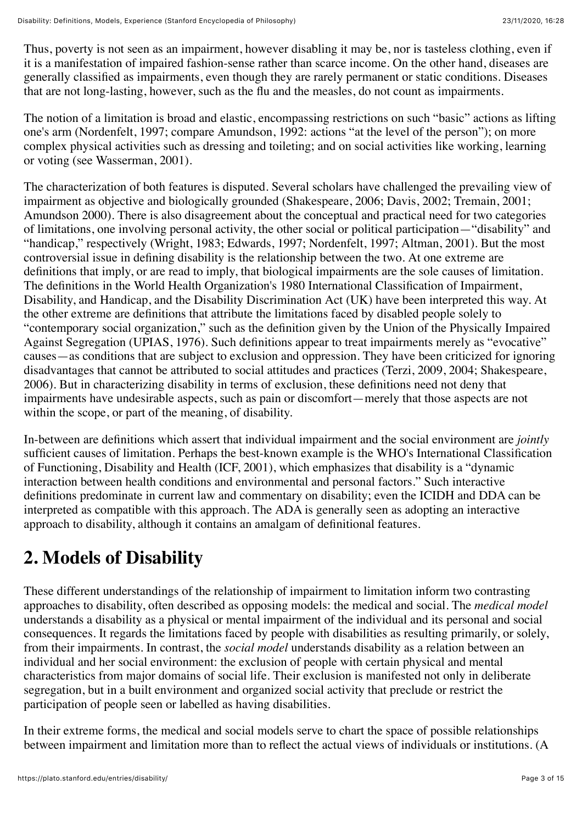Thus, poverty is not seen as an impairment, however disabling it may be, nor is tasteless clothing, even if it is a manifestation of impaired fashion-sense rather than scarce income. On the other hand, diseases are generally classified as impairments, even though they are rarely permanent or static conditions. Diseases that are not long-lasting, however, such as the flu and the measles, do not count as impairments.

The notion of a limitation is broad and elastic, encompassing restrictions on such "basic" actions as lifting one's arm (Nordenfelt, 1997; compare Amundson, 1992: actions "at the level of the person"); on more complex physical activities such as dressing and toileting; and on social activities like working, learning or voting (see Wasserman, 2001).

The characterization of both features is disputed. Several scholars have challenged the prevailing view of impairment as objective and biologically grounded (Shakespeare, 2006; Davis, 2002; Tremain, 2001; Amundson 2000). There is also disagreement about the conceptual and practical need for two categories of limitations, one involving personal activity, the other social or political participation—"disability" and "handicap," respectively (Wright, 1983; Edwards, 1997; Nordenfelt, 1997; Altman, 2001). But the most controversial issue in defining disability is the relationship between the two. At one extreme are definitions that imply, or are read to imply, that biological impairments are the sole causes of limitation. The definitions in the World Health Organization's 1980 International Classification of Impairment, Disability, and Handicap, and the Disability Discrimination Act (UK) have been interpreted this way. At the other extreme are definitions that attribute the limitations faced by disabled people solely to "contemporary social organization," such as the definition given by the Union of the Physically Impaired Against Segregation (UPIAS, 1976). Such definitions appear to treat impairments merely as "evocative" causes—as conditions that are subject to exclusion and oppression. They have been criticized for ignoring disadvantages that cannot be attributed to social attitudes and practices (Terzi, 2009, 2004; Shakespeare, 2006). But in characterizing disability in terms of exclusion, these definitions need not deny that impairments have undesirable aspects, such as pain or discomfort—merely that those aspects are not within the scope, or part of the meaning, of disability.

In-between are definitions which assert that individual impairment and the social environment are *jointly* sufficient causes of limitation. Perhaps the best-known example is the WHO's International Classification of Functioning, Disability and Health (ICF, 2001), which emphasizes that disability is a "dynamic interaction between health conditions and environmental and personal factors." Such interactive definitions predominate in current law and commentary on disability; even the ICIDH and DDA can be interpreted as compatible with this approach. The ADA is generally seen as adopting an interactive approach to disability, although it contains an amalgam of definitional features.

# <span id="page-2-0"></span>**2. Models of Disability**

These different understandings of the relationship of impairment to limitation inform two contrasting approaches to disability, often described as opposing models: the medical and social. The *medical model* understands a disability as a physical or mental impairment of the individual and its personal and social consequences. It regards the limitations faced by people with disabilities as resulting primarily, or solely, from their impairments. In contrast, the *social model* understands disability as a relation between an individual and her social environment: the exclusion of people with certain physical and mental characteristics from major domains of social life. Their exclusion is manifested not only in deliberate segregation, but in a built environment and organized social activity that preclude or restrict the participation of people seen or labelled as having disabilities.

In their extreme forms, the medical and social models serve to chart the space of possible relationships between impairment and limitation more than to reflect the actual views of individuals or institutions. (A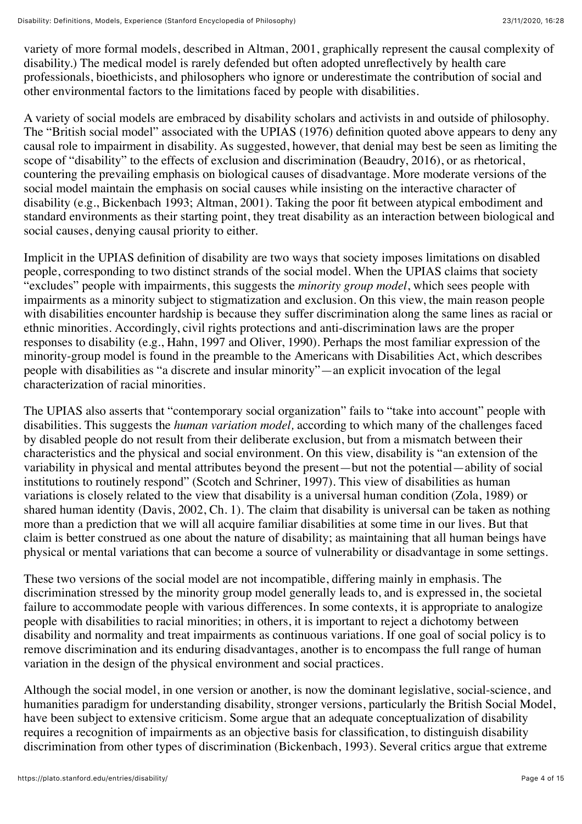variety of more formal models, described in Altman, 2001, graphically represent the causal complexity of disability.) The medical model is rarely defended but often adopted unreflectively by health care professionals, bioethicists, and philosophers who ignore or underestimate the contribution of social and other environmental factors to the limitations faced by people with disabilities.

A variety of social models are embraced by disability scholars and activists in and outside of philosophy. The "British social model" associated with the UPIAS (1976) definition quoted above appears to deny any causal role to impairment in disability. As suggested, however, that denial may best be seen as limiting the scope of "disability" to the effects of exclusion and discrimination (Beaudry, 2016), or as rhetorical, countering the prevailing emphasis on biological causes of disadvantage. More moderate versions of the social model maintain the emphasis on social causes while insisting on the interactive character of disability (e.g., Bickenbach 1993; Altman, 2001). Taking the poor fit between atypical embodiment and standard environments as their starting point, they treat disability as an interaction between biological and social causes, denying causal priority to either.

Implicit in the UPIAS definition of disability are two ways that society imposes limitations on disabled people, corresponding to two distinct strands of the social model. When the UPIAS claims that society "excludes" people with impairments, this suggests the *minority group model*, which sees people with impairments as a minority subject to stigmatization and exclusion. On this view, the main reason people with disabilities encounter hardship is because they suffer discrimination along the same lines as racial or ethnic minorities. Accordingly, civil rights protections and anti-discrimination laws are the proper responses to disability (e.g., Hahn, 1997 and Oliver, 1990). Perhaps the most familiar expression of the minority-group model is found in the preamble to the Americans with Disabilities Act, which describes people with disabilities as "a discrete and insular minority"—an explicit invocation of the legal characterization of racial minorities.

The UPIAS also asserts that "contemporary social organization" fails to "take into account" people with disabilities. This suggests the *human variation model,* according to which many of the challenges faced by disabled people do not result from their deliberate exclusion, but from a mismatch between their characteristics and the physical and social environment. On this view, disability is "an extension of the variability in physical and mental attributes beyond the present—but not the potential—ability of social institutions to routinely respond" (Scotch and Schriner, 1997). This view of disabilities as human variations is closely related to the view that disability is a universal human condition (Zola, 1989) or shared human identity (Davis, 2002, Ch. 1). The claim that disability is universal can be taken as nothing more than a prediction that we will all acquire familiar disabilities at some time in our lives. But that claim is better construed as one about the nature of disability; as maintaining that all human beings have physical or mental variations that can become a source of vulnerability or disadvantage in some settings.

These two versions of the social model are not incompatible, differing mainly in emphasis. The discrimination stressed by the minority group model generally leads to, and is expressed in, the societal failure to accommodate people with various differences. In some contexts, it is appropriate to analogize people with disabilities to racial minorities; in others, it is important to reject a dichotomy between disability and normality and treat impairments as continuous variations. If one goal of social policy is to remove discrimination and its enduring disadvantages, another is to encompass the full range of human variation in the design of the physical environment and social practices.

Although the social model, in one version or another, is now the dominant legislative, social-science, and humanities paradigm for understanding disability, stronger versions, particularly the British Social Model, have been subject to extensive criticism. Some argue that an adequate conceptualization of disability requires a recognition of impairments as an objective basis for classification, to distinguish disability discrimination from other types of discrimination (Bickenbach, 1993). Several critics argue that extreme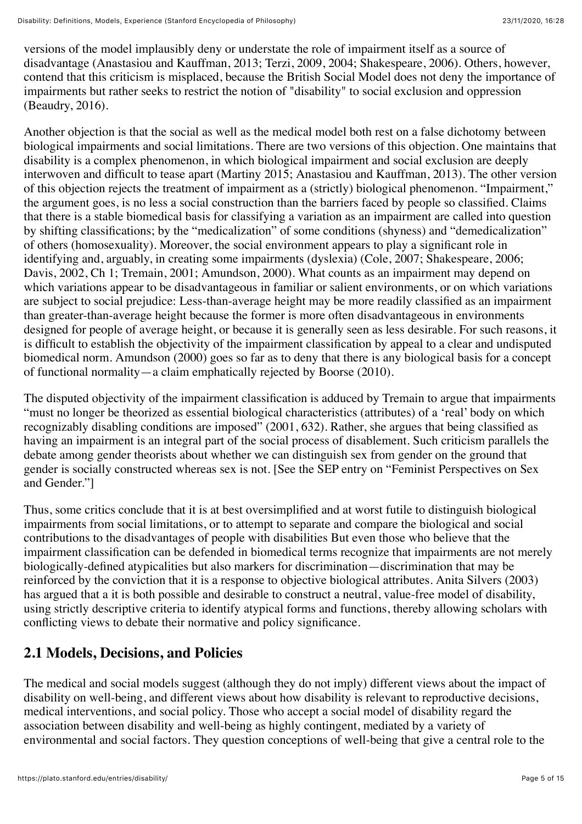versions of the model implausibly deny or understate the role of impairment itself as a source of disadvantage (Anastasiou and Kauffman, 2013; Terzi, 2009, 2004; Shakespeare, 2006). Others, however, contend that this criticism is misplaced, because the British Social Model does not deny the importance of impairments but rather seeks to restrict the notion of "disability" to social exclusion and oppression (Beaudry, 2016).

Another objection is that the social as well as the medical model both rest on a false dichotomy between biological impairments and social limitations. There are two versions of this objection. One maintains that disability is a complex phenomenon, in which biological impairment and social exclusion are deeply interwoven and difficult to tease apart (Martiny 2015; Anastasiou and Kauffman, 2013). The other version of this objection rejects the treatment of impairment as a (strictly) biological phenomenon. "Impairment," the argument goes, is no less a social construction than the barriers faced by people so classified. Claims that there is a stable biomedical basis for classifying a variation as an impairment are called into question by shifting classifications; by the "medicalization" of some conditions (shyness) and "demedicalization" of others (homosexuality). Moreover, the social environment appears to play a significant role in identifying and, arguably, in creating some impairments (dyslexia) (Cole, 2007; Shakespeare, 2006; Davis, 2002, Ch 1; Tremain, 2001; Amundson, 2000). What counts as an impairment may depend on which variations appear to be disadvantageous in familiar or salient environments, or on which variations are subject to social prejudice: Less-than-average height may be more readily classified as an impairment than greater-than-average height because the former is more often disadvantageous in environments designed for people of average height, or because it is generally seen as less desirable. For such reasons, it is difficult to establish the objectivity of the impairment classification by appeal to a clear and undisputed biomedical norm. Amundson (2000) goes so far as to deny that there is any biological basis for a concept of functional normality—a claim emphatically rejected by Boorse (2010).

The disputed objectivity of the impairment classification is adduced by Tremain to argue that impairments "must no longer be theorized as essential biological characteristics (attributes) of a 'real' body on which recognizably disabling conditions are imposed" (2001, 632). Rather, she argues that being classified as having an impairment is an integral part of the social process of disablement. Such criticism parallels the debate among gender theorists about whether we can distinguish sex from gender on the ground that gender is socially constructed whereas sex is not. [See the SEP entry on "Feminist Perspectives on Sex and Gender."]

Thus, some critics conclude that it is at best oversimplified and at worst futile to distinguish biological impairments from social limitations, or to attempt to separate and compare the biological and social contributions to the disadvantages of people with disabilities But even those who believe that the impairment classification can be defended in biomedical terms recognize that impairments are not merely biologically-defined atypicalities but also markers for discrimination—discrimination that may be reinforced by the conviction that it is a response to objective biological attributes. Anita Silvers (2003) has argued that a it is both possible and desirable to construct a neutral, value-free model of disability, using strictly descriptive criteria to identify atypical forms and functions, thereby allowing scholars with conflicting views to debate their normative and policy significance.

#### <span id="page-4-0"></span>**2.1 Models, Decisions, and Policies**

The medical and social models suggest (although they do not imply) different views about the impact of disability on well-being, and different views about how disability is relevant to reproductive decisions, medical interventions, and social policy. Those who accept a social model of disability regard the association between disability and well-being as highly contingent, mediated by a variety of environmental and social factors. They question conceptions of well-being that give a central role to the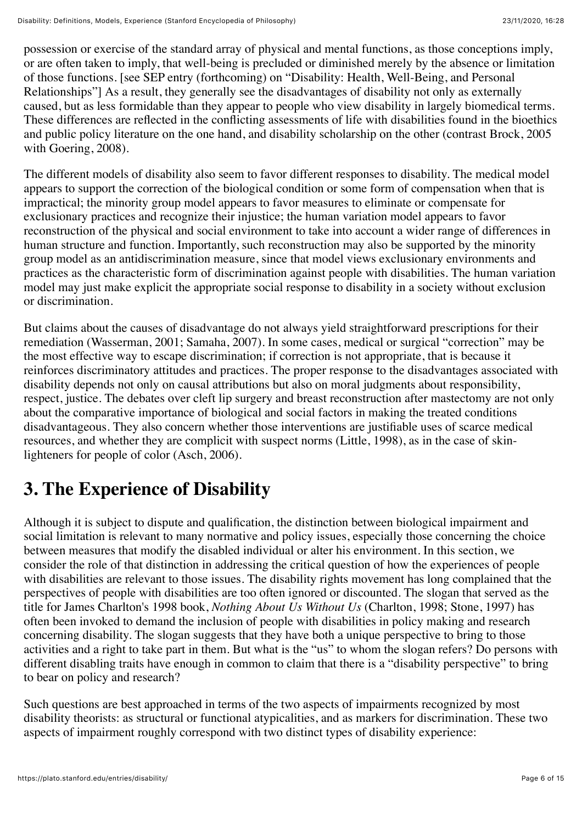possession or exercise of the standard array of physical and mental functions, as those conceptions imply, or are often taken to imply, that well-being is precluded or diminished merely by the absence or limitation of those functions. [see SEP entry (forthcoming) on "Disability: Health, Well-Being, and Personal Relationships"] As a result, they generally see the disadvantages of disability not only as externally caused, but as less formidable than they appear to people who view disability in largely biomedical terms. These differences are reflected in the conflicting assessments of life with disabilities found in the bioethics and public policy literature on the one hand, and disability scholarship on the other (contrast Brock, 2005 with Goering, 2008).

The different models of disability also seem to favor different responses to disability. The medical model appears to support the correction of the biological condition or some form of compensation when that is impractical; the minority group model appears to favor measures to eliminate or compensate for exclusionary practices and recognize their injustice; the human variation model appears to favor reconstruction of the physical and social environment to take into account a wider range of differences in human structure and function. Importantly, such reconstruction may also be supported by the minority group model as an antidiscrimination measure, since that model views exclusionary environments and practices as the characteristic form of discrimination against people with disabilities. The human variation model may just make explicit the appropriate social response to disability in a society without exclusion or discrimination.

But claims about the causes of disadvantage do not always yield straightforward prescriptions for their remediation (Wasserman, 2001; Samaha, 2007). In some cases, medical or surgical "correction" may be the most effective way to escape discrimination; if correction is not appropriate, that is because it reinforces discriminatory attitudes and practices. The proper response to the disadvantages associated with disability depends not only on causal attributions but also on moral judgments about responsibility, respect, justice. The debates over cleft lip surgery and breast reconstruction after mastectomy are not only about the comparative importance of biological and social factors in making the treated conditions disadvantageous. They also concern whether those interventions are justifiable uses of scarce medical resources, and whether they are complicit with suspect norms (Little, 1998), as in the case of skinlighteners for people of color (Asch, 2006).

# <span id="page-5-0"></span>**3. The Experience of Disability**

Although it is subject to dispute and qualification, the distinction between biological impairment and social limitation is relevant to many normative and policy issues, especially those concerning the choice between measures that modify the disabled individual or alter his environment. In this section, we consider the role of that distinction in addressing the critical question of how the experiences of people with disabilities are relevant to those issues. The disability rights movement has long complained that the perspectives of people with disabilities are too often ignored or discounted. The slogan that served as the title for James Charlton's 1998 book, *Nothing About Us Without Us* (Charlton, 1998; Stone, 1997) has often been invoked to demand the inclusion of people with disabilities in policy making and research concerning disability. The slogan suggests that they have both a unique perspective to bring to those activities and a right to take part in them. But what is the "us" to whom the slogan refers? Do persons with different disabling traits have enough in common to claim that there is a "disability perspective" to bring to bear on policy and research?

Such questions are best approached in terms of the two aspects of impairments recognized by most disability theorists: as structural or functional atypicalities, and as markers for discrimination. These two aspects of impairment roughly correspond with two distinct types of disability experience: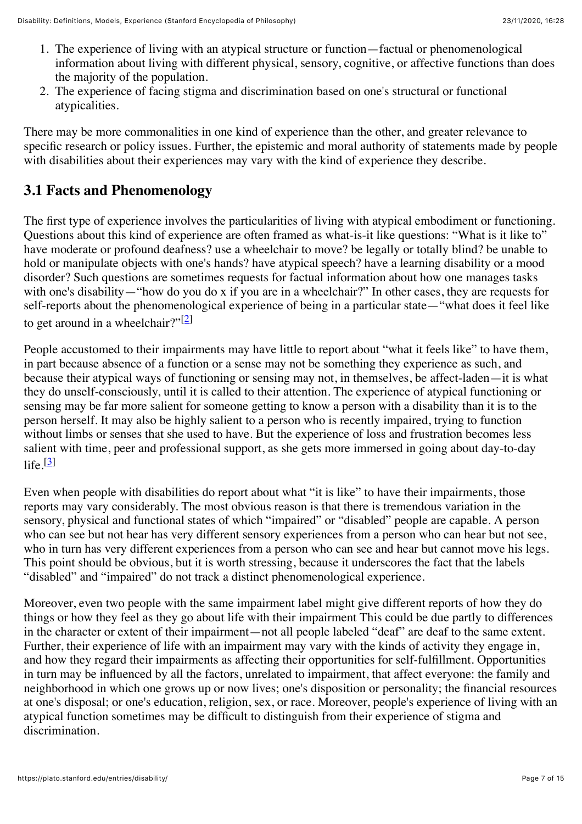- 1. The experience of living with an atypical structure or function—factual or phenomenological information about living with different physical, sensory, cognitive, or affective functions than does the majority of the population.
- 2. The experience of facing stigma and discrimination based on one's structural or functional atypicalities.

There may be more commonalities in one kind of experience than the other, and greater relevance to specific research or policy issues. Further, the epistemic and moral authority of statements made by people with disabilities about their experiences may vary with the kind of experience they describe.

## <span id="page-6-0"></span>**3.1 Facts and Phenomenology**

The first type of experience involves the particularities of living with atypical embodiment or functioning. Questions about this kind of experience are often framed as what-is-it like questions: "What is it like to" have moderate or profound deafness? use a wheelchair to move? be legally or totally blind? be unable to hold or manipulate objects with one's hands? have atypical speech? have a learning disability or a mood disorder? Such questions are sometimes requests for factual information about how one manages tasks with one's disability—"how do you do x if you are in a wheelchair?" In other cases, they are requests for self-reports about the phenomenological experience of being in a particular state—"what does it feel like to get around in a wheelchair?"[\[2\]](https://plato.stanford.edu/entries/disability/notes.html%232)

People accustomed to their impairments may have little to report about "what it feels like" to have them, in part because absence of a function or a sense may not be something they experience as such, and because their atypical ways of functioning or sensing may not, in themselves, be affect-laden—it is what they do unself-consciously, until it is called to their attention. The experience of atypical functioning or sensing may be far more salient for someone getting to know a person with a disability than it is to the person herself. It may also be highly salient to a person who is recently impaired, trying to function without limbs or senses that she used to have. But the experience of loss and frustration becomes less salient with time, peer and professional support, as she gets more immersed in going about day-to-day  $\text{life}$  $\boxed{3}$ 

Even when people with disabilities do report about what "it is like" to have their impairments, those reports may vary considerably. The most obvious reason is that there is tremendous variation in the sensory, physical and functional states of which "impaired" or "disabled" people are capable. A person who can see but not hear has very different sensory experiences from a person who can hear but not see, who in turn has very different experiences from a person who can see and hear but cannot move his legs. This point should be obvious, but it is worth stressing, because it underscores the fact that the labels "disabled" and "impaired" do not track a distinct phenomenological experience.

Moreover, even two people with the same impairment label might give different reports of how they do things or how they feel as they go about life with their impairment This could be due partly to differences in the character or extent of their impairment—not all people labeled "deaf" are deaf to the same extent. Further, their experience of life with an impairment may vary with the kinds of activity they engage in, and how they regard their impairments as affecting their opportunities for self-fulfillment. Opportunities in turn may be influenced by all the factors, unrelated to impairment, that affect everyone: the family and neighborhood in which one grows up or now lives; one's disposition or personality; the financial resources at one's disposal; or one's education, religion, sex, or race. Moreover, people's experience of living with an atypical function sometimes may be difficult to distinguish from their experience of stigma and discrimination.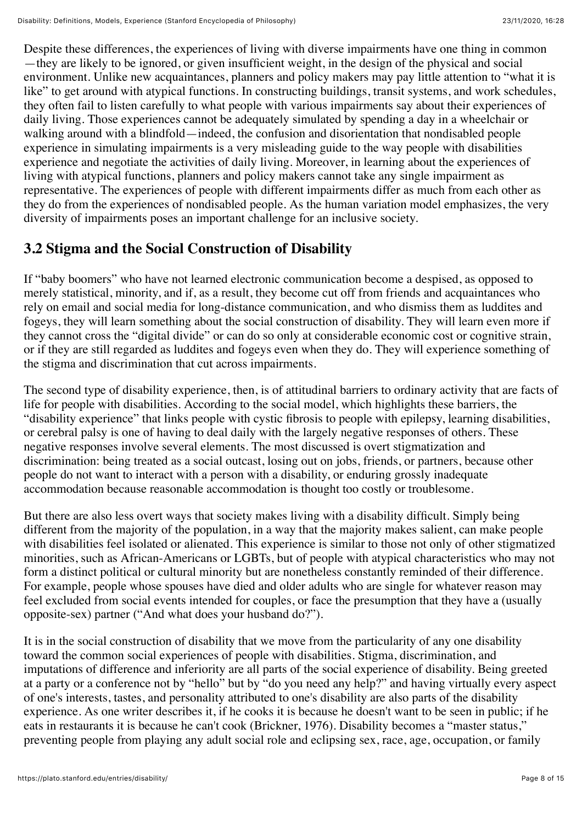Despite these differences, the experiences of living with diverse impairments have one thing in common —they are likely to be ignored, or given insufficient weight, in the design of the physical and social environment. Unlike new acquaintances, planners and policy makers may pay little attention to "what it is like" to get around with atypical functions. In constructing buildings, transit systems, and work schedules, they often fail to listen carefully to what people with various impairments say about their experiences of daily living. Those experiences cannot be adequately simulated by spending a day in a wheelchair or walking around with a blindfold—indeed, the confusion and disorientation that nondisabled people experience in simulating impairments is a very misleading guide to the way people with disabilities experience and negotiate the activities of daily living. Moreover, in learning about the experiences of living with atypical functions, planners and policy makers cannot take any single impairment as representative. The experiences of people with different impairments differ as much from each other as they do from the experiences of nondisabled people. As the human variation model emphasizes, the very diversity of impairments poses an important challenge for an inclusive society.

## <span id="page-7-0"></span>**3.2 Stigma and the Social Construction of Disability**

If "baby boomers" who have not learned electronic communication become a despised, as opposed to merely statistical, minority, and if, as a result, they become cut off from friends and acquaintances who rely on email and social media for long-distance communication, and who dismiss them as luddites and fogeys, they will learn something about the social construction of disability. They will learn even more if they cannot cross the "digital divide" or can do so only at considerable economic cost or cognitive strain, or if they are still regarded as luddites and fogeys even when they do. They will experience something of the stigma and discrimination that cut across impairments.

The second type of disability experience, then, is of attitudinal barriers to ordinary activity that are facts of life for people with disabilities. According to the social model, which highlights these barriers, the "disability experience" that links people with cystic fibrosis to people with epilepsy, learning disabilities, or cerebral palsy is one of having to deal daily with the largely negative responses of others. These negative responses involve several elements. The most discussed is overt stigmatization and discrimination: being treated as a social outcast, losing out on jobs, friends, or partners, because other people do not want to interact with a person with a disability, or enduring grossly inadequate accommodation because reasonable accommodation is thought too costly or troublesome.

But there are also less overt ways that society makes living with a disability difficult. Simply being different from the majority of the population, in a way that the majority makes salient, can make people with disabilities feel isolated or alienated. This experience is similar to those not only of other stigmatized minorities, such as African-Americans or LGBTs, but of people with atypical characteristics who may not form a distinct political or cultural minority but are nonetheless constantly reminded of their difference. For example, people whose spouses have died and older adults who are single for whatever reason may feel excluded from social events intended for couples, or face the presumption that they have a (usually opposite-sex) partner ("And what does your husband do?").

It is in the social construction of disability that we move from the particularity of any one disability toward the common social experiences of people with disabilities. Stigma, discrimination, and imputations of difference and inferiority are all parts of the social experience of disability. Being greeted at a party or a conference not by "hello" but by "do you need any help?" and having virtually every aspect of one's interests, tastes, and personality attributed to one's disability are also parts of the disability experience. As one writer describes it, if he cooks it is because he doesn't want to be seen in public; if he eats in restaurants it is because he can't cook (Brickner, 1976). Disability becomes a "master status," preventing people from playing any adult social role and eclipsing sex, race, age, occupation, or family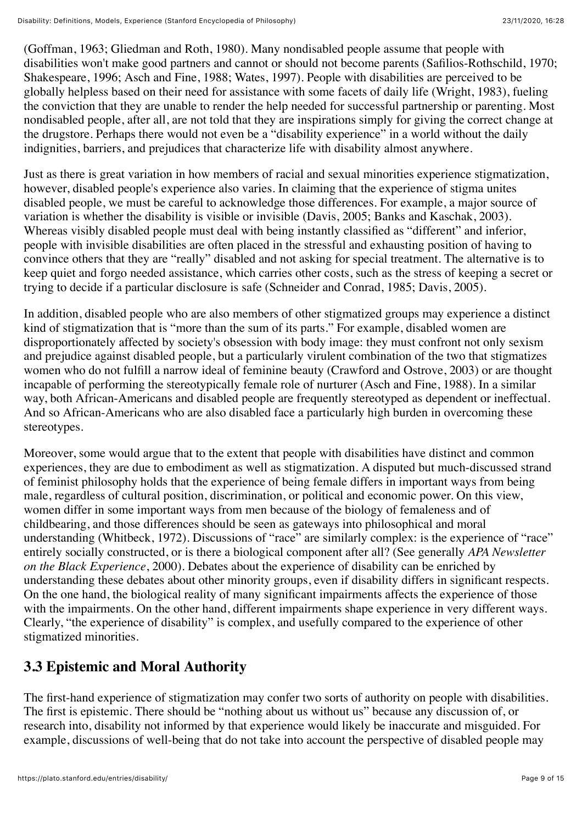(Goffman, 1963; Gliedman and Roth, 1980). Many nondisabled people assume that people with disabilities won't make good partners and cannot or should not become parents (Safilios-Rothschild, 1970; Shakespeare, 1996; Asch and Fine, 1988; Wates, 1997). People with disabilities are perceived to be globally helpless based on their need for assistance with some facets of daily life (Wright, 1983), fueling the conviction that they are unable to render the help needed for successful partnership or parenting. Most nondisabled people, after all, are not told that they are inspirations simply for giving the correct change at the drugstore. Perhaps there would not even be a "disability experience" in a world without the daily indignities, barriers, and prejudices that characterize life with disability almost anywhere.

Just as there is great variation in how members of racial and sexual minorities experience stigmatization, however, disabled people's experience also varies. In claiming that the experience of stigma unites disabled people, we must be careful to acknowledge those differences. For example, a major source of variation is whether the disability is visible or invisible (Davis, 2005; Banks and Kaschak, 2003). Whereas visibly disabled people must deal with being instantly classified as "different" and inferior, people with invisible disabilities are often placed in the stressful and exhausting position of having to convince others that they are "really" disabled and not asking for special treatment. The alternative is to keep quiet and forgo needed assistance, which carries other costs, such as the stress of keeping a secret or trying to decide if a particular disclosure is safe (Schneider and Conrad, 1985; Davis, 2005).

In addition, disabled people who are also members of other stigmatized groups may experience a distinct kind of stigmatization that is "more than the sum of its parts." For example, disabled women are disproportionately affected by society's obsession with body image: they must confront not only sexism and prejudice against disabled people, but a particularly virulent combination of the two that stigmatizes women who do not fulfill a narrow ideal of feminine beauty (Crawford and Ostrove, 2003) or are thought incapable of performing the stereotypically female role of nurturer (Asch and Fine, 1988). In a similar way, both African-Americans and disabled people are frequently stereotyped as dependent or ineffectual. And so African-Americans who are also disabled face a particularly high burden in overcoming these stereotypes.

Moreover, some would argue that to the extent that people with disabilities have distinct and common experiences, they are due to embodiment as well as stigmatization. A disputed but much-discussed strand of feminist philosophy holds that the experience of being female differs in important ways from being male, regardless of cultural position, discrimination, or political and economic power. On this view, women differ in some important ways from men because of the biology of femaleness and of childbearing, and those differences should be seen as gateways into philosophical and moral understanding (Whitbeck, 1972). Discussions of "race" are similarly complex: is the experience of "race" entirely socially constructed, or is there a biological component after all? (See generally *APA Newsletter on the Black Experience*, 2000). Debates about the experience of disability can be enriched by understanding these debates about other minority groups, even if disability differs in significant respects. On the one hand, the biological reality of many significant impairments affects the experience of those with the impairments. On the other hand, different impairments shape experience in very different ways. Clearly, "the experience of disability" is complex, and usefully compared to the experience of other stigmatized minorities.

## <span id="page-8-0"></span>**3.3 Epistemic and Moral Authority**

The first-hand experience of stigmatization may confer two sorts of authority on people with disabilities. The first is epistemic. There should be "nothing about us without us" because any discussion of, or research into, disability not informed by that experience would likely be inaccurate and misguided. For example, discussions of well-being that do not take into account the perspective of disabled people may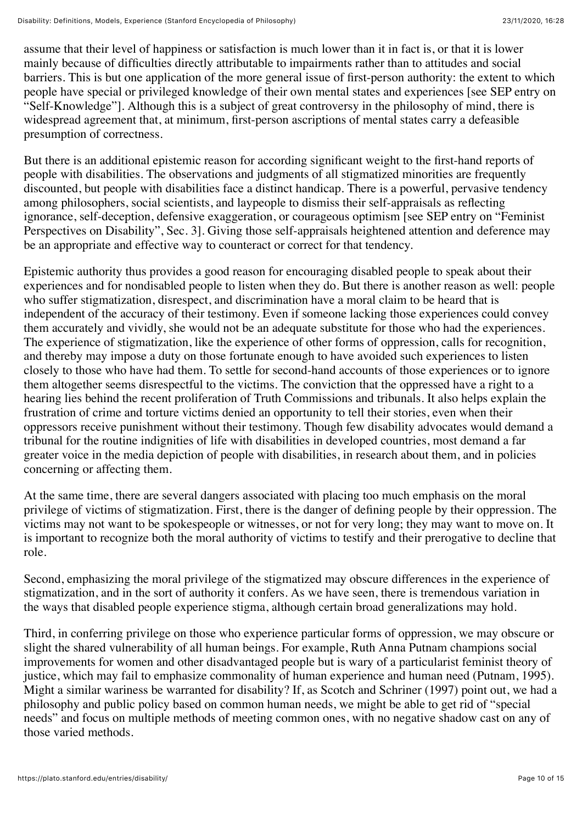assume that their level of happiness or satisfaction is much lower than it in fact is, or that it is lower mainly because of difficulties directly attributable to impairments rather than to attitudes and social barriers. This is but one application of the more general issue of first-person authority: the extent to which people have special or privileged knowledge of their own mental states and experiences [see SEP entry on "Self-Knowledge"]. Although this is a subject of great controversy in the philosophy of mind, there is widespread agreement that, at minimum, first-person ascriptions of mental states carry a defeasible presumption of correctness.

But there is an additional epistemic reason for according significant weight to the first-hand reports of people with disabilities. The observations and judgments of all stigmatized minorities are frequently discounted, but people with disabilities face a distinct handicap. There is a powerful, pervasive tendency among philosophers, social scientists, and laypeople to dismiss their self-appraisals as reflecting ignorance, self-deception, defensive exaggeration, or courageous optimism [see SEP entry on "Feminist Perspectives on Disability", Sec. 3]. Giving those self-appraisals heightened attention and deference may be an appropriate and effective way to counteract or correct for that tendency.

Epistemic authority thus provides a good reason for encouraging disabled people to speak about their experiences and for nondisabled people to listen when they do. But there is another reason as well: people who suffer stigmatization, disrespect, and discrimination have a moral claim to be heard that is independent of the accuracy of their testimony. Even if someone lacking those experiences could convey them accurately and vividly, she would not be an adequate substitute for those who had the experiences. The experience of stigmatization, like the experience of other forms of oppression, calls for recognition, and thereby may impose a duty on those fortunate enough to have avoided such experiences to listen closely to those who have had them. To settle for second-hand accounts of those experiences or to ignore them altogether seems disrespectful to the victims. The conviction that the oppressed have a right to a hearing lies behind the recent proliferation of Truth Commissions and tribunals. It also helps explain the frustration of crime and torture victims denied an opportunity to tell their stories, even when their oppressors receive punishment without their testimony. Though few disability advocates would demand a tribunal for the routine indignities of life with disabilities in developed countries, most demand a far greater voice in the media depiction of people with disabilities, in research about them, and in policies concerning or affecting them.

At the same time, there are several dangers associated with placing too much emphasis on the moral privilege of victims of stigmatization. First, there is the danger of defining people by their oppression. The victims may not want to be spokespeople or witnesses, or not for very long; they may want to move on. It is important to recognize both the moral authority of victims to testify and their prerogative to decline that role.

Second, emphasizing the moral privilege of the stigmatized may obscure differences in the experience of stigmatization, and in the sort of authority it confers. As we have seen, there is tremendous variation in the ways that disabled people experience stigma, although certain broad generalizations may hold.

Third, in conferring privilege on those who experience particular forms of oppression, we may obscure or slight the shared vulnerability of all human beings. For example, Ruth Anna Putnam champions social improvements for women and other disadvantaged people but is wary of a particularist feminist theory of justice, which may fail to emphasize commonality of human experience and human need (Putnam, 1995). Might a similar wariness be warranted for disability? If, as Scotch and Schriner (1997) point out, we had a philosophy and public policy based on common human needs, we might be able to get rid of "special needs" and focus on multiple methods of meeting common ones, with no negative shadow cast on any of those varied methods.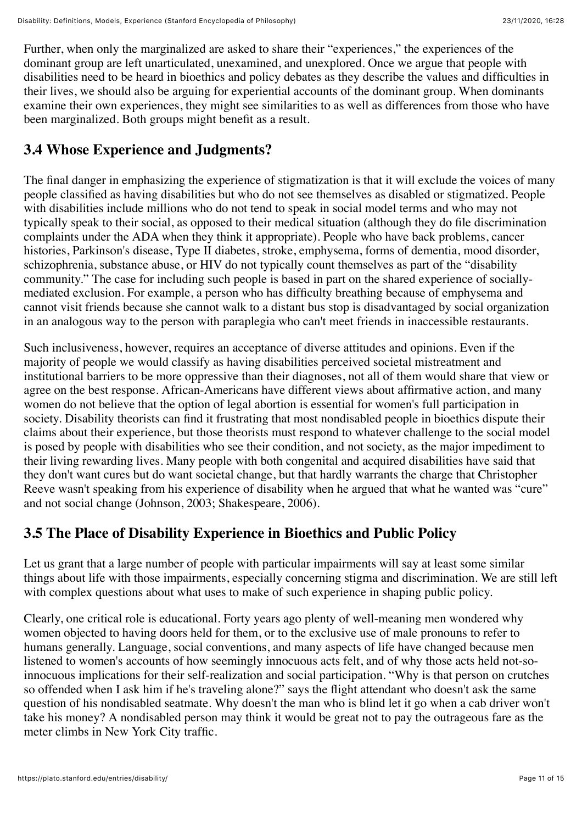Further, when only the marginalized are asked to share their "experiences," the experiences of the dominant group are left unarticulated, unexamined, and unexplored. Once we argue that people with disabilities need to be heard in bioethics and policy debates as they describe the values and difficulties in their lives, we should also be arguing for experiential accounts of the dominant group. When dominants examine their own experiences, they might see similarities to as well as differences from those who have been marginalized. Both groups might benefit as a result.

## <span id="page-10-0"></span>**3.4 Whose Experience and Judgments?**

The final danger in emphasizing the experience of stigmatization is that it will exclude the voices of many people classified as having disabilities but who do not see themselves as disabled or stigmatized. People with disabilities include millions who do not tend to speak in social model terms and who may not typically speak to their social, as opposed to their medical situation (although they do file discrimination complaints under the ADA when they think it appropriate). People who have back problems, cancer histories, Parkinson's disease, Type II diabetes, stroke, emphysema, forms of dementia, mood disorder, schizophrenia, substance abuse, or HIV do not typically count themselves as part of the "disability community." The case for including such people is based in part on the shared experience of sociallymediated exclusion. For example, a person who has difficulty breathing because of emphysema and cannot visit friends because she cannot walk to a distant bus stop is disadvantaged by social organization in an analogous way to the person with paraplegia who can't meet friends in inaccessible restaurants.

Such inclusiveness, however, requires an acceptance of diverse attitudes and opinions. Even if the majority of people we would classify as having disabilities perceived societal mistreatment and institutional barriers to be more oppressive than their diagnoses, not all of them would share that view or agree on the best response. African-Americans have different views about affirmative action, and many women do not believe that the option of legal abortion is essential for women's full participation in society. Disability theorists can find it frustrating that most nondisabled people in bioethics dispute their claims about their experience, but those theorists must respond to whatever challenge to the social model is posed by people with disabilities who see their condition, and not society, as the major impediment to their living rewarding lives. Many people with both congenital and acquired disabilities have said that they don't want cures but do want societal change, but that hardly warrants the charge that Christopher Reeve wasn't speaking from his experience of disability when he argued that what he wanted was "cure" and not social change (Johnson, 2003; Shakespeare, 2006).

#### <span id="page-10-1"></span>**3.5 The Place of Disability Experience in Bioethics and Public Policy**

Let us grant that a large number of people with particular impairments will say at least some similar things about life with those impairments, especially concerning stigma and discrimination. We are still left with complex questions about what uses to make of such experience in shaping public policy.

Clearly, one critical role is educational. Forty years ago plenty of well-meaning men wondered why women objected to having doors held for them, or to the exclusive use of male pronouns to refer to humans generally. Language, social conventions, and many aspects of life have changed because men listened to women's accounts of how seemingly innocuous acts felt, and of why those acts held not-soinnocuous implications for their self-realization and social participation. "Why is that person on crutches so offended when I ask him if he's traveling alone?" says the flight attendant who doesn't ask the same question of his nondisabled seatmate. Why doesn't the man who is blind let it go when a cab driver won't take his money? A nondisabled person may think it would be great not to pay the outrageous fare as the meter climbs in New York City traffic.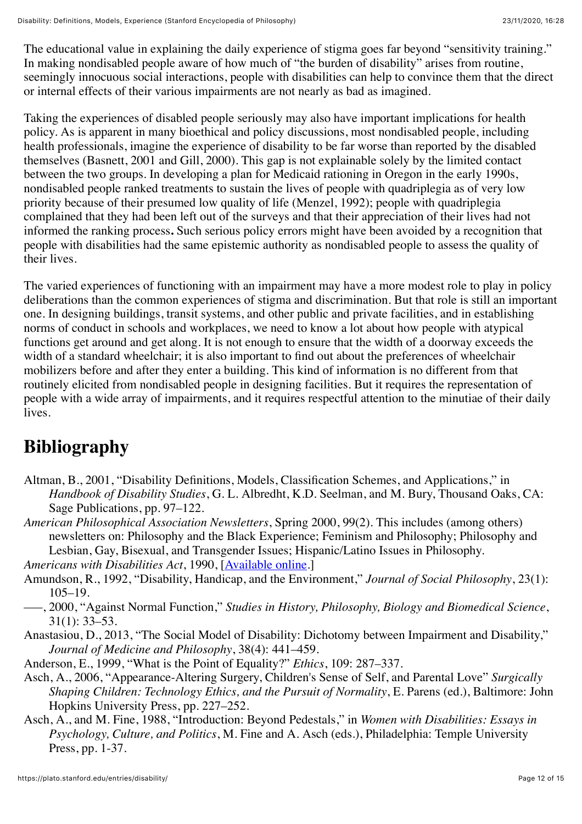The educational value in explaining the daily experience of stigma goes far beyond "sensitivity training." In making nondisabled people aware of how much of "the burden of disability" arises from routine, seemingly innocuous social interactions, people with disabilities can help to convince them that the direct or internal effects of their various impairments are not nearly as bad as imagined.

Taking the experiences of disabled people seriously may also have important implications for health policy. As is apparent in many bioethical and policy discussions, most nondisabled people, including health professionals, imagine the experience of disability to be far worse than reported by the disabled themselves (Basnett, 2001 and Gill, 2000). This gap is not explainable solely by the limited contact between the two groups. In developing a plan for Medicaid rationing in Oregon in the early 1990s, nondisabled people ranked treatments to sustain the lives of people with quadriplegia as of very low priority because of their presumed low quality of life (Menzel, 1992); people with quadriplegia complained that they had been left out of the surveys and that their appreciation of their lives had not informed the ranking process**.** Such serious policy errors might have been avoided by a recognition that people with disabilities had the same epistemic authority as nondisabled people to assess the quality of their lives.

The varied experiences of functioning with an impairment may have a more modest role to play in policy deliberations than the common experiences of stigma and discrimination. But that role is still an important one. In designing buildings, transit systems, and other public and private facilities, and in establishing norms of conduct in schools and workplaces, we need to know a lot about how people with atypical functions get around and get along. It is not enough to ensure that the width of a doorway exceeds the width of a standard wheelchair; it is also important to find out about the preferences of wheelchair mobilizers before and after they enter a building. This kind of information is no different from that routinely elicited from nondisabled people in designing facilities. But it requires the representation of people with a wide array of impairments, and it requires respectful attention to the minutiae of their daily lives.

# <span id="page-11-0"></span>**Bibliography**

- Altman, B., 2001, "Disability Definitions, Models, Classification Schemes, and Applications," in *Handbook of Disability Studies*, G. L. Albredht, K.D. Seelman, and M. Bury, Thousand Oaks, CA: Sage Publications, pp. 97–122.
- *American Philosophical Association Newsletters*, Spring 2000, 99(2). This includes (among others) newsletters on: Philosophy and the Black Experience; Feminism and Philosophy; Philosophy and Lesbian, Gay, Bisexual, and Transgender Issues; Hispanic/Latino Issues in Philosophy.

*Americans with Disabilities Act*, 1990, [[Available online.](http://www.ada.gov/pubs/ada.htm)]

- Amundson, R., 1992, "Disability, Handicap, and the Environment," *Journal of Social Philosophy*, 23(1): 105–19.
- –––, 2000, "Against Normal Function," *Studies in History, Philosophy, Biology and Biomedical Science*, 31(1): 33–53.
- Anastasiou, D., 2013, "The Social Model of Disability: Dichotomy between Impairment and Disability," *Journal of Medicine and Philosophy*, 38(4): 441–459.
- Anderson, E., 1999, "What is the Point of Equality?" *Ethics*, 109: 287–337.
- Asch, A., 2006, "Appearance-Altering Surgery, Children's Sense of Self, and Parental Love" *Surgically Shaping Children: Technology Ethics, and the Pursuit of Normality*, E. Parens (ed.), Baltimore: John Hopkins University Press, pp. 227–252.
- Asch, A., and M. Fine, 1988, "Introduction: Beyond Pedestals," in *Women with Disabilities: Essays in Psychology, Culture, and Politics*, M. Fine and A. Asch (eds.), Philadelphia: Temple University Press, pp. 1-37.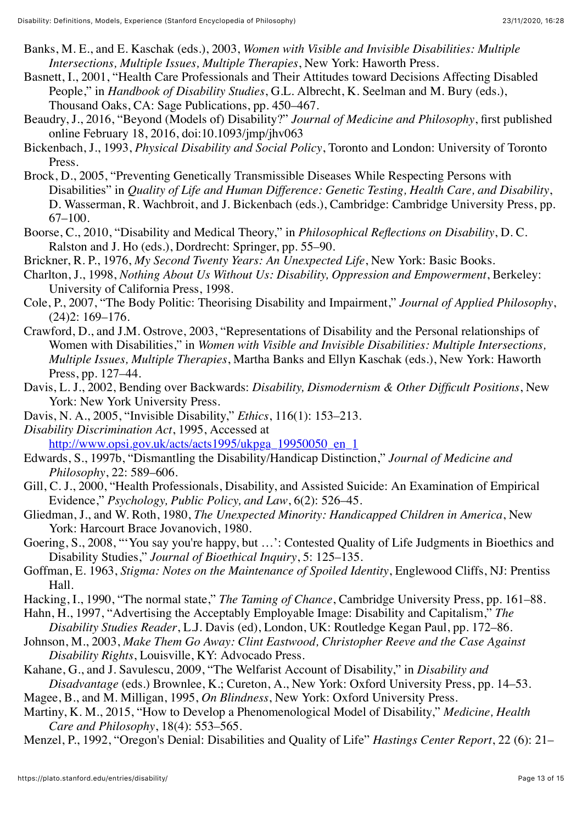- Banks, M. E., and E. Kaschak (eds.), 2003, *Women with Visible and Invisible Disabilities: Multiple Intersections, Multiple Issues, Multiple Therapies*, New York: Haworth Press.
- Basnett, I., 2001, "Health Care Professionals and Their Attitudes toward Decisions Affecting Disabled People," in *Handbook of Disability Studies*, G.L. Albrecht, K. Seelman and M. Bury (eds.), Thousand Oaks, CA: Sage Publications, pp. 450–467.
- Beaudry, J., 2016, "Beyond (Models of) Disability?" *Journal of Medicine and Philosophy*, first published online February 18, 2016, doi:10.1093/jmp/jhv063
- Bickenbach, J., 1993, *Physical Disability and Social Policy*, Toronto and London: University of Toronto Press.
- Brock, D., 2005, "Preventing Genetically Transmissible Diseases While Respecting Persons with Disabilities" in *Quality of Life and Human Difference: Genetic Testing, Health Care, and Disability*, D. Wasserman, R. Wachbroit, and J. Bickenbach (eds.), Cambridge: Cambridge University Press, pp. 67–100.
- Boorse, C., 2010, "Disability and Medical Theory," in *Philosophical Reflections on Disability*, D. C. Ralston and J. Ho (eds.), Dordrecht: Springer, pp. 55–90.
- Brickner, R. P., 1976, *My Second Twenty Years: An Unexpected Life*, New York: Basic Books.
- Charlton, J., 1998, *Nothing About Us Without Us: Disability, Oppression and Empowerment*, Berkeley: University of California Press, 1998.
- Cole, P., 2007, "The Body Politic: Theorising Disability and Impairment," *Journal of Applied Philosophy*, (24)2: 169–176.
- Crawford, D., and J.M. Ostrove, 2003, "Representations of Disability and the Personal relationships of Women with Disabilities," in *Women with Visible and Invisible Disabilities: Multiple Intersections, Multiple Issues, Multiple Therapies*, Martha Banks and Ellyn Kaschak (eds.), New York: Haworth Press, pp. 127–44.
- Davis, L. J., 2002, Bending over Backwards: *Disability, Dismodernism & Other Difficult Positions*, New York: New York University Press.
- Davis, N. A., 2005, "Invisible Disability," *Ethics*, 116(1): 153–213.

*Disability Discrimination Act*, 1995, Accessed at [http://www.opsi.gov.uk/acts/acts1995/ukpga\\_19950050\\_en\\_1](http://www.opsi.gov.uk/acts/acts1995/ukpga_19950050_en_1)

- Edwards, S., 1997b, "Dismantling the Disability/Handicap Distinction," *Journal of Medicine and Philosophy*, 22: 589–606.
- Gill, C. J., 2000, "Health Professionals, Disability, and Assisted Suicide: An Examination of Empirical Evidence," *Psychology, Public Policy, and Law*, 6(2): 526–45.
- Gliedman, J., and W. Roth, 1980, *The Unexpected Minority: Handicapped Children in America*, New York: Harcourt Brace Jovanovich, 1980.
- Goering, S., 2008, "'You say you're happy, but …': Contested Quality of Life Judgments in Bioethics and Disability Studies," *Journal of Bioethical Inquiry*, 5: 125–135.
- Goffman, E. 1963, *Stigma: Notes on the Maintenance of Spoiled Identity*, Englewood Cliffs, NJ: Prentiss Hall.
- Hacking, I., 1990, "The normal state," *The Taming of Chance*, Cambridge University Press, pp. 161–88.
- Hahn, H., 1997, "Advertising the Acceptably Employable Image: Disability and Capitalism," *The Disability Studies Reader*, L.J. Davis (ed), London, UK: Routledge Kegan Paul, pp. 172–86.
- Johnson, M., 2003, *Make Them Go Away: Clint Eastwood, Christopher Reeve and the Case Against Disability Rights*, Louisville, KY: Advocado Press.
- Kahane, G., and J. Savulescu, 2009, "The Welfarist Account of Disability," in *Disability and Disadvantage* (eds.) Brownlee, K.; Cureton, A., New York: Oxford University Press, pp. 14–53.
- Magee, B., and M. Milligan, 1995, *On Blindness*, New York: Oxford University Press.
- Martiny, K. M., 2015, "How to Develop a Phenomenological Model of Disability," *Medicine, Health Care and Philosophy*, 18(4): 553–565.
- Menzel, P., 1992, "Oregon's Denial: Disabilities and Quality of Life" *Hastings Center Report*, 22 (6): 21–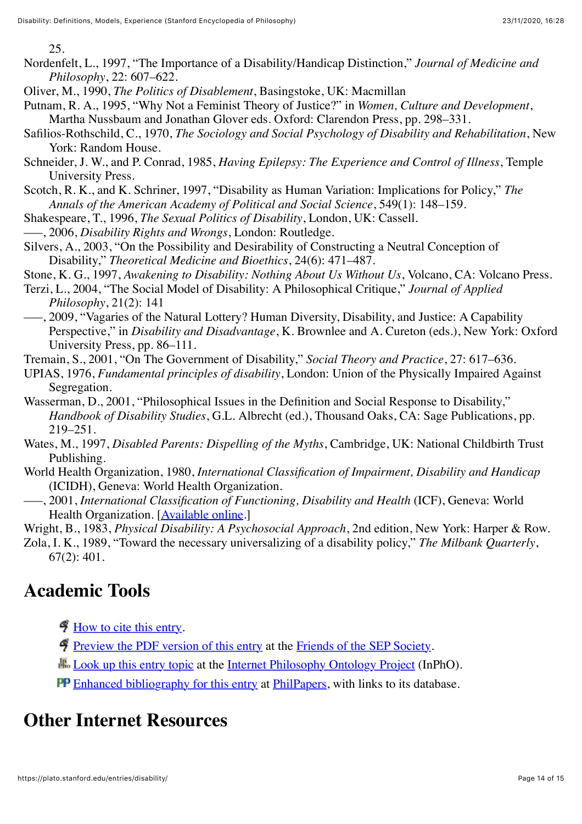25.

- Nordenfelt, L., 1997, "The Importance of a Disability/Handicap Distinction," *Journal of Medicine and Philosophy*, 22: 607–622.
- Oliver, M., 1990, *The Politics of Disablement*, Basingstoke, UK: Macmillan
- Putnam, R. A., 1995, "Why Not a Feminist Theory of Justice?" in *Women, Culture and Development*, Martha Nussbaum and Jonathan Glover eds. Oxford: Clarendon Press, pp. 298–331.
- Safilios-Rothschild, C., 1970, *The Sociology and Social Psychology of Disability and Rehabilitation*, New York: Random House.
- Schneider, J. W., and P. Conrad, 1985, *Having Epilepsy: The Experience and Control of Illness*, Temple University Press.
- Scotch, R. K., and K. Schriner, 1997, "Disability as Human Variation: Implications for Policy," *The Annals of the American Academy of Political and Social Science*, 549(1): 148–159.
- Shakespeare, T., 1996, *The Sexual Politics of Disability*, London, UK: Cassell.
- –––, 2006, *Disability Rights and Wrongs*, London: Routledge.
- Silvers, A., 2003, "On the Possibility and Desirability of Constructing a Neutral Conception of Disability," *Theoretical Medicine and Bioethics*, 24(6): 471–487.
- Stone, K. G., 1997, *Awakening to Disability: Nothing About Us Without Us*, Volcano, CA: Volcano Press.
- Terzi, L., 2004, "The Social Model of Disability: A Philosophical Critique," *Journal of Applied Philosophy*, 21(2): 141
- –––, 2009, "Vagaries of the Natural Lottery? Human Diversity, Disability, and Justice: A Capability Perspective," in *Disability and Disadvantage*, K. Brownlee and A. Cureton (eds.), New York: Oxford University Press, pp. 86–111.
- Tremain, S., 2001, "On The Government of Disability," *Social Theory and Practice*, 27: 617–636.
- UPIAS, 1976, *Fundamental principles of disability*, London: Union of the Physically Impaired Against Segregation.
- Wasserman, D., 2001, "Philosophical Issues in the Definition and Social Response to Disability," *Handbook of Disability Studies*, G.L. Albrecht (ed.), Thousand Oaks, CA: Sage Publications, pp. 219–251.
- Wates, M., 1997, *Disabled Parents: Dispelling of the Myths*, Cambridge, UK: National Childbirth Trust Publishing.
- World Health Organization, 1980, *International Classification of Impairment, Disability and Handicap* (ICIDH), Geneva: World Health Organization.
- –––, 2001, *International Classification of Functioning, Disability and Health* (ICF), Geneva: World Health Organization. [[Available online.](http://whqlibdoc.who.int/publications/2001/9241545429.pdf)]
- Wright, B., 1983, *Physical Disability: A Psychosocial Approach*, 2nd edition, New York: Harper & Row.
- Zola, I. K., 1989, "Toward the necessary universalizing of a disability policy," *The Milbank Quarterly*, 67(2): 401.

## <span id="page-13-0"></span>**Academic Tools**

- [How to cite this entry.](https://plato.stanford.edu/cgi-bin/encyclopedia/archinfo.cgi?entry=disability)
- [Preview the PDF version of this entry](https://leibniz.stanford.edu/friends/preview/disability/) at the [Friends of the SEP Society.](https://leibniz.stanford.edu/friends/)
- **H**<sub>o</sub> [Look up this entry topic](https://www.inphoproject.org/entity?sep=disability&redirect=True) at the [Internet Philosophy Ontology Project](https://www.inphoproject.org/) (InPhO).
- [Enhanced bibliography for this entry](http://philpapers.org/sep/disability/) at [PhilPapers,](http://philpapers.org/) with links to its database.

## <span id="page-13-1"></span>**Other Internet Resources**